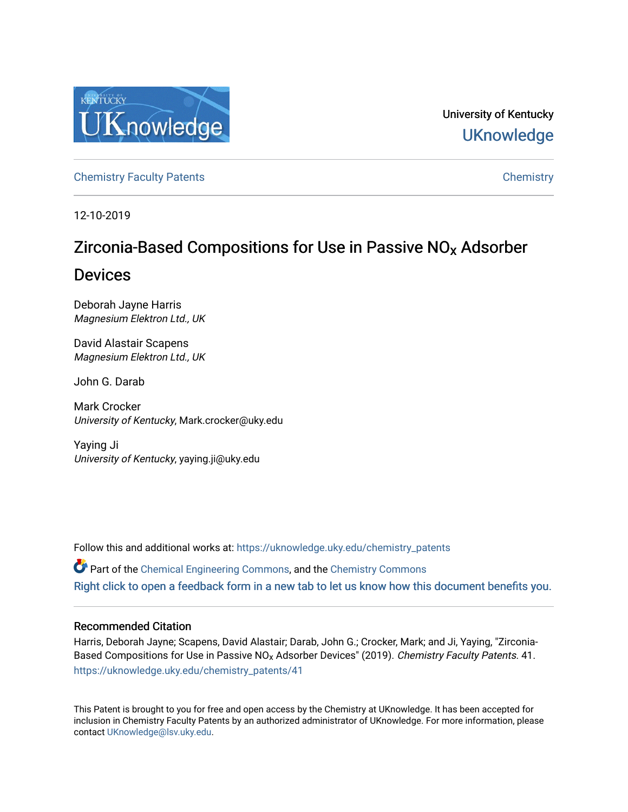

University of Kentucky **UKnowledge** 

[Chemistry Faculty Patents](https://uknowledge.uky.edu/chemistry_patents) **Chemistry** Chemistry

12-10-2019

# Zirconia-Based Compositions for Use in Passive NOx Adsorber

## Devices

Deborah Jayne Harris Magnesium Elektron Ltd., UK

David Alastair Scapens Magnesium Elektron Ltd., UK

John G. Darab

Mark Crocker University of Kentucky, Mark.crocker@uky.edu

Yaying Ji University of Kentucky, yaying.ji@uky.edu

Follow this and additional works at: [https://uknowledge.uky.edu/chemistry\\_patents](https://uknowledge.uky.edu/chemistry_patents?utm_source=uknowledge.uky.edu%2Fchemistry_patents%2F41&utm_medium=PDF&utm_campaign=PDFCoverPages)

Part of the [Chemical Engineering Commons](http://network.bepress.com/hgg/discipline/240?utm_source=uknowledge.uky.edu%2Fchemistry_patents%2F41&utm_medium=PDF&utm_campaign=PDFCoverPages), and the [Chemistry Commons](http://network.bepress.com/hgg/discipline/131?utm_source=uknowledge.uky.edu%2Fchemistry_patents%2F41&utm_medium=PDF&utm_campaign=PDFCoverPages)  [Right click to open a feedback form in a new tab to let us know how this document benefits you.](https://uky.az1.qualtrics.com/jfe/form/SV_9mq8fx2GnONRfz7)

## Recommended Citation

Harris, Deborah Jayne; Scapens, David Alastair; Darab, John G.; Crocker, Mark; and Ji, Yaying, "Zirconia-Based Compositions for Use in Passive NO<sub>x</sub> Adsorber Devices" (2019). Chemistry Faculty Patents. 41. [https://uknowledge.uky.edu/chemistry\\_patents/41](https://uknowledge.uky.edu/chemistry_patents/41?utm_source=uknowledge.uky.edu%2Fchemistry_patents%2F41&utm_medium=PDF&utm_campaign=PDFCoverPages) 

This Patent is brought to you for free and open access by the Chemistry at UKnowledge. It has been accepted for inclusion in Chemistry Faculty Patents by an authorized administrator of UKnowledge. For more information, please contact [UKnowledge@lsv.uky.edu](mailto:UKnowledge@lsv.uky.edu).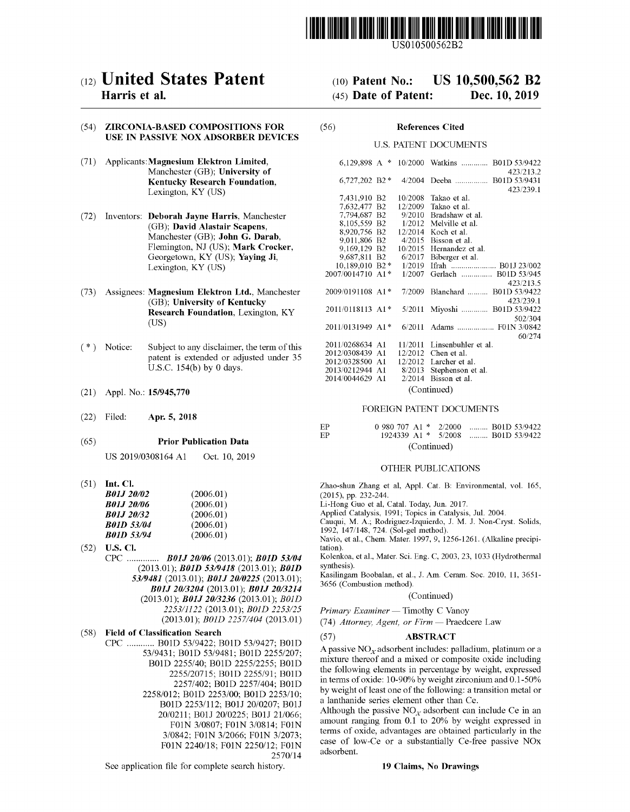

US010500562B2

## c12) **United States Patent**

### **Harris et al.**

#### (54) ZIRCONIA-BASED COMPOSITIONS FOR USE IN PASSIVE NOX ADSORBER DEVICES

- (71) Applicants:Magnesium **Elektron Limited,**  Manchester (GB); **University of Kentucky Research Foundation,**  Lexington, KY (US)
- (72) Inventors: **Deborah Jayne Harris,** Manchester (GB); **David Alastair Scapens,**  Manchester (GB); **John G. Darab,**  Flemington, NJ (US); **Mark Crocker,**  Georgetown, KY (US); **Yaying Ji,**  Lexington, KY (US)
- (73) Assignees: **Magnesium Elektron Ltd.,** Manchester (GB); **University of Kentucky Research Foundation,** Lexington, KY (US)
- $(*)$  Notice: Subject to any disclaimer, the term of this patent is extended or adjusted under 35 U.S.C. 154(b) by 0 days.
- (21) Appl. No.: **15/945,770**
- (22) Filed: **Apr. 5, 2018**

#### (65) **Prior Publication Data**

US 2019/0308164 A1 Oct. 10, 2019

(51) **Int. Cl.** 

| <b>B01J 20/02</b> | (2006.01) |
|-------------------|-----------|
| <i>B01J 20/06</i> | (2006.01) |
| <b>B01J 20/32</b> | (2006.01) |
| <b>B01D 53/04</b> | (2006.01) |
| <b>B01D 53/94</b> | (2006.01) |

- (52) **U.S. Cl.**  CPC .............. *BOJJ 20106* (2013.01); *BOID 53/04*  (2013.01); *BOID 53/9418* (2013.01); *BOID 53/9481* (2013.01); *BOJJ 2010225* (2013.01); *BOJJ 2013204* (2013.01); *BOJJ 2013214*  (2013.01); *BOJJ 2013236* (2013.01); *BOID 225311122* (2013.01); *BOID 2253/25*  (2013.01); *BOID 2257/404* (2013.01)
- (58) **Field of Classification Search** 
	- CPC ............ BOID 53/9422; BOID 53/9427; BOID 53/9431; BOID 53/9481; BOID 2255/207; BOID 2255/40; BOID 2255/2255; BOID 2255/20715; BOID 2255/91; BOID 2257/402; BOID 2257/404; BOID 2258/012; BOID 2253/00; BOID 2253/10; BOID 2253/112; B0lJ 20/0207; B0lJ 20/0211; B0lJ 20/0225; B0lJ 21/066; F01N 3/0807; F0lN 3/0814; F01N 3/0842; F0lN 3/2066; F0lN 3/2073; F0lN 2240/18; F01N 2250/12; F01N 2570/14

See application file for complete search history.

#### (IO) **Patent No.:**  (45) **Date of Patent: US 10,500,562 B2 Dec. 10, 2019**

#### (56) **References Cited**

#### U.S. PATENT DOCUMENTS

| 6.129.898 A $*$  |  | 10/2000 | Watkins  B01D 53/9422     |  |  |  |  |  |  |
|------------------|--|---------|---------------------------|--|--|--|--|--|--|
|                  |  |         | 423/213.2                 |  |  |  |  |  |  |
| 6,727,202 B2 *   |  | 4/2004  | B01D 53/9431              |  |  |  |  |  |  |
|                  |  |         | 423/239.1                 |  |  |  |  |  |  |
| 7,431,910 B2     |  | 10/2008 | Takao et al.              |  |  |  |  |  |  |
| 7,632,477 B2     |  | 12/2009 | Takao et al.              |  |  |  |  |  |  |
| 7,794,687 B2     |  | 9/2010  | Bradshaw et al.           |  |  |  |  |  |  |
| 8,105,559 B2     |  | 1/2012  | Melville et al.           |  |  |  |  |  |  |
| 8,920,756 B2     |  | 12/2014 | Koch et al.               |  |  |  |  |  |  |
| 9,011,806 B2     |  | 4/2015  | Bisson et al.             |  |  |  |  |  |  |
| 9,169,129 B2     |  | 10/2015 | Hernandez et al.          |  |  |  |  |  |  |
| 9,687,811 B2     |  | 6/2017  | Biberger et al.           |  |  |  |  |  |  |
| 10.189,010 B2*   |  | 1/2019  | Ifrah  B01J 23/002        |  |  |  |  |  |  |
| 2007/0014710 A1* |  | 1/2007  | Gerlach  B01D 53/945      |  |  |  |  |  |  |
|                  |  |         | 423/213.5                 |  |  |  |  |  |  |
| 2009/0191108 A1* |  | 7/2009  | Blanchard<br>B01D 53/9422 |  |  |  |  |  |  |
|                  |  |         | 423/239.1                 |  |  |  |  |  |  |
| 2011/0118113 A1* |  | 5/2011  | Miyoshi  B01D 53/9422     |  |  |  |  |  |  |
|                  |  |         | 502/304                   |  |  |  |  |  |  |
| 2011/0131949 A1* |  | 6/2011  |                           |  |  |  |  |  |  |
|                  |  |         | 60/274                    |  |  |  |  |  |  |
| 2011/0268634 A1  |  | 11/2011 | Linsenbuhler et al.       |  |  |  |  |  |  |
| 2012/0308439 A1  |  | 12/2012 | Chen et al.               |  |  |  |  |  |  |
| 2012/0328500 A1  |  | 12/2012 | Larcher et al.            |  |  |  |  |  |  |
| 2013/0212944 A1  |  | 8/2013  | Stephenson et al.         |  |  |  |  |  |  |
| 2014/0044629 A1  |  | 2/2014  | Bisson et al.             |  |  |  |  |  |  |
|                  |  |         |                           |  |  |  |  |  |  |
| (Continued)      |  |         |                           |  |  |  |  |  |  |

#### FOREIGN PATENT DOCUMENTS

| EP | $0.980.707$ A1 $*$ 2/2000  B01D 53/9422 |  |  |
|----|-----------------------------------------|--|--|
| EP | 1924339 A1 * 5/2008  B01D 53/9422       |  |  |
|    | (Continued)                             |  |  |

#### OTHER PUBLICATIONS

Zhao-shun Zhang et al, Appl. Cat. B: Environmental, vol. 165, (2015), pp. 232-244.

Li-Hong Guo et al, Catal. Today, Jun. 2017.

Applied Catalysis, 1991; Topics in Catalysis, Jul. 2004.

Cauqui, M. A.; Rodriguez-Izquierdo, J. M. J. Non-Cryst. Solids,

1992, 147/148, 724. (Sol-gel method). Navio, et al., Chem. Mater. 1997, 9, 1256-1261. (Alkaline precipi-

tation). Kolenkoa, et al., Mater. Sci. Eng. C, 2003, 23, 1033 (Hydrothermal

synthesis).

Kasilingam Boobalan, et al., J. Am. Ceram. Soc. 2010, 11, 3651- 3656 (Combustion method).

#### (Continued)

*Primary Examiner* - Timothy C Vanoy

(74) *Attorney, Agent, or Firm* - Praedcere Law

#### (57) **ABSTRACT**

A passive  $NO<sub>x</sub>$  adsorbent includes: palladium, platinum or a mixture thereof and a mixed or composite oxide including the following elements in percentage by weight, expressed in terms of oxide:  $10-90\%$  by weight zirconium and  $0.1-50\%$ by weight of least one of the following: a transition metal or a lanthanide series element other than Ce.

Although the passive  $NO<sub>x</sub>$  adsorbent can include Ce in an amount ranging from 0.1 to 20% by weight expressed in terms of oxide, advantages are obtained particularly in the case of low-Ce or a substantially Ce-free passive NOx adsorbent.

#### **19 Claims, No Drawings**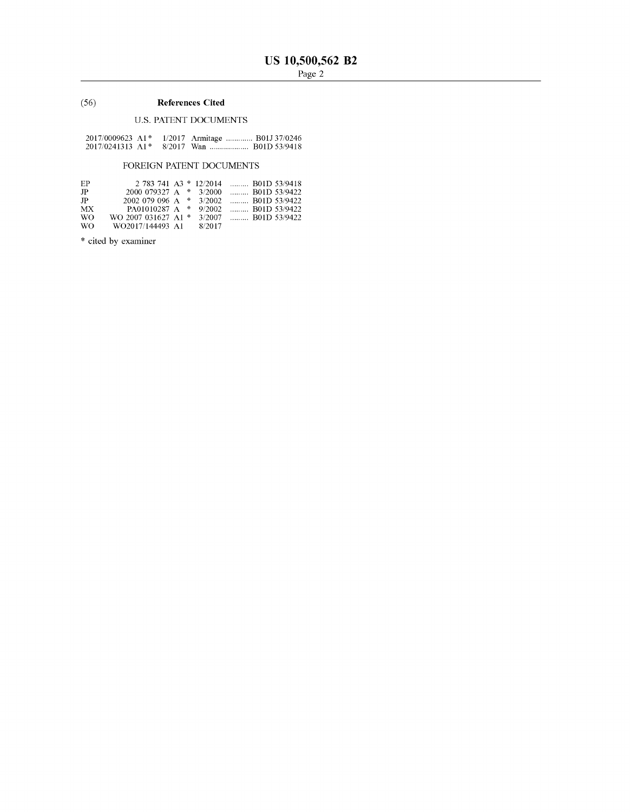### (56) **References Cited**

### U.S. PATENT DOCUMENTS

| $2017/0009623$ A1 <sup>*</sup>  |  | 1/2017 Armitage  B01J 37/0246 |  |
|---------------------------------|--|-------------------------------|--|
| $2017/0241313$ A <sub>1</sub> * |  | 8/2017 Wan  B01D 53/9418      |  |

### FOREIGN PATENT DOCUMENTS

| EP. | $2.783.741$ A3 $*$ 12/2014 |  |        |  | $\ldots$ B01D 53/9418 |
|-----|----------------------------|--|--------|--|-----------------------|
| JP  | 2000 079327 A $*$ 3/2000   |  |        |  | $\ldots$ B01D 53/9422 |
| JP  | 2002 079 096 A $*$ 3/2002  |  |        |  | $\ldots$ B01D 53/9422 |
| МX  | PA01010287 A *             |  | 9/2002 |  | $\ldots$ B01D 53/9422 |
| WO. | WO 2007 031627 A1 *        |  | 3/2007 |  | $\ldots$ B01D 53/9422 |
| WO. | WO2017/144493 A1           |  | 8/2017 |  |                       |

\* cited by examiner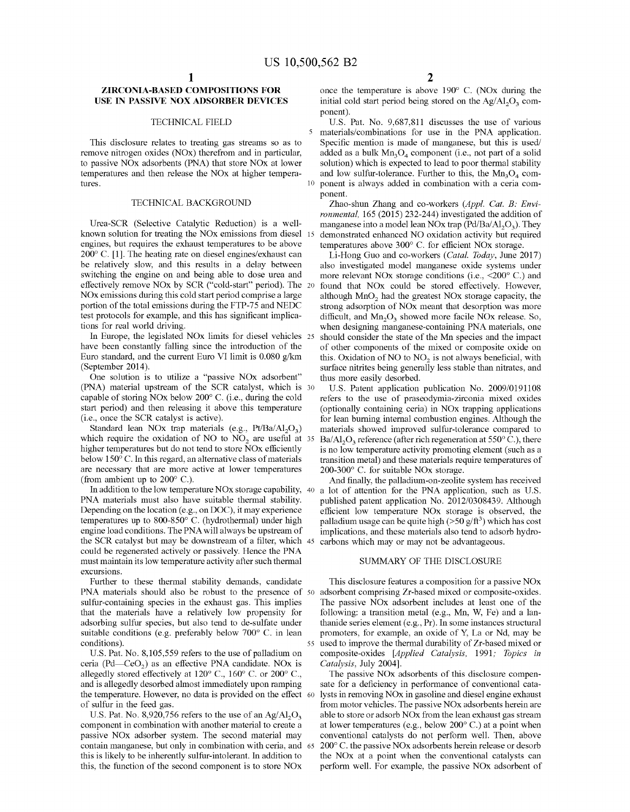#### **ZIRCONIA-BASED COMPOSITIONS FOR USE IN PASSIVE NOX ADSORBER DEVICES**

#### TECHNICAL FIELD

This disclosure relates to treating gas streams so as to remove nitrogen oxides (NOx) therefrom and in particular, to passive NOx adsorbents (PNA) that store NOx at lower temperatures and then release the NOx at higher temperatures.

#### TECHNICAL BACKGROUND

Urea-SCR (Selective Catalytic Reduction) is a wellknown solution for treating the NOx emissions from diesel engines, but requires the exhaust temperatures to be above 200° C. [1]. The heating rate on diesel engines/exhaust can be relatively slow, and this results in a delay between switching the engine on and being able to dose urea and effectively remove NOx by SCR ("cold-start" period). The NOx emissions during this cold start period comprise a large portion of the total emissions during the FTP-75 and NEDC test protocols for example, and this has significant implications for real world driving.

In Europe, the legislated NO<sub>x</sub> limits for diesel vehicles 25 have been constantly falling since the introduction of the Euro standard, and the current Euro VI limit is 0.080 g/km (September 2014).

One solution is to utilize a "passive NOx adsorbent" (PNA) material upstream of the SCR catalyst, which is 30 capable of storing NOx below 200° C. (i.e., during the cold start period) and then releasing it above this temperature (i.e., once the SCR catalyst is active).<br>Standard lean NOx trap materials (e.g.,  $Pt/Ba/Al_2O_3$ )

which require the oxidation of NO to  $NO<sub>2</sub>$  are useful at 35 higher temperatures but do not tend to store NOx efficiently below 150° C. In this regard, an alternative class of materials are necessary that are more active at lower temperatures (from ambient up to 200° C.).

In addition to the low temperature NOx storage capability, PNA materials must also have suitable thermal stability. Depending on the location (e.g., on DOC), it may experience temperatures up to 800-850° C. (hydrothermal) under high engine load conditions. The PNA will always be upstream of the SCR catalyst but may be downstream of a filter, which 45 carbons which may or may not be advantageous. could be regenerated actively or passively. Hence the PNA must maintain its low temperature activity after such thermal excursions.

PNA materials should also be robust to the presence of 50 adsorbent comprising Zr-based mixed or composite-oxides. Further to these thermal stability demands, candidate sulfur-containing species in the exhaust gas. This implies that the materials have a relatively low propensity for adsorbing sulfur species, but also tend to de-sulfate under suitable conditions (e.g. preferably below  $700^{\circ}$  C. in lean conditions).

U.S. Pat. No. 8,105,559 refers to the use of palladium on ceria (Pd—CeO<sub>2</sub>) as an effective PNA candidate. NO<sub>x</sub> is allegedly stored effectively at  $120^{\circ}$  C.,  $160^{\circ}$  C. or  $200^{\circ}$  C., and is allegedly desorbed almost immediately upon ramping the temperature. However, no data is provided on the effect 60 of sulfur in the feed gas.

U.S. Pat. No. 8,920,756 refers to the use of an  $Ag/Al_2O_3$ component in combination with another material to create a passive NOx adsorber system. The second material may contain manganese, but only in combination with ceria, and 65 this is likely to be inherently sulfur-intolerant. In addition to this, the function of the second component is to store NOx

once the temperature is above 190° C. (NOx during the initial cold start period being stored on the  $Ag/Al_2O_3$  component).

U.S. Pat. No. 9,687,811 discusses the use of various materials/combinations for use in the PNA application. Specific mention is made of manganese, but this is used/ added as a bulk  $Mn<sub>3</sub>O<sub>4</sub>$  component (i.e., not part of a solid solution) which is expected to lead to poor thermal stability and low sulfur-tolerance. Further to this, the  $Mn_3O_4$  component is always added in combination with a ceria component.

Zhao-shun Zhang and co-workers *(Appl. Cat. B: Environmental,* 165 (2015) 232-244) investigated the addition of manganese into a model lean NOx trap ( $Pd/Ba/Al<sub>2</sub>O<sub>3</sub>$ ). They demonstrated enhanced NO oxidation activity but required temperatures above 300° C. for efficient NOx storage.

Li-Hong Guo and co-workers *(Cata!. Today,* June 2017) also investigated model manganese oxide systems under more relevant NOx storage conditions (i.e., <200° C.) and found that NOx could be stored effectively. However, although  $MnO<sub>2</sub>$  had the greatest NOx storage capacity, the strong adsorption of NOx meant that desorption was more difficult, and  $Mn<sub>2</sub>O<sub>3</sub>$  showed more facile NOx release. So, when designing manganese-containing PNA materials, one should consider the state of the Mn species and the impact of other components of the mixed or composite oxide on this. Oxidation of  $NO$  to  $NO<sub>2</sub>$  is not always beneficial, with surface nitrites being generally less stable than nitrates, and thus more easily desorbed.

U.S. Patent application publication No. 2009/0191108 refers to the use of praseodymia-zirconia mixed oxides (optionally containing ceria) in NOx trapping applications for lean burning internal combustion engines. Although the materials showed improved sulfur-tolerance compared to  $Ba/Al<sub>2</sub>O<sub>3</sub>$  reference (after rich regeneration at 550° C.), there is no low temperature activity promoting element (such as a transition metal) and these materials require temperatures of 200-300° C. for suitable NOx storage.

And finally, the palladium-on-zeolite system has received a lot of attention for the PNA application, such as U.S. published patent application No. 2012/0308439. Although efficient low temperature NOx storage is observed, the palladium usage can be quite high  $(>50 \frac{g}{ft^3})$  which has cost implications, and these materials also tend to adsorb hydro-

#### SUMMARY OF THE DISCLOSURE

This disclosure features a composition for a passive NOx The passive NOx adsorbent includes at least one of the following: a transition metal (e.g., Mn, W, Fe) and a lanthanide series element (e.g., Pr). In some instances structural promoters, for example, an oxide of Y, La or Nd, may be 55 used to improve the thermal durability of Zr-based mixed or composite-oxides *[Applied Catalysis,* 1991; *Topics in Catalysis,* July 2004].

The passive NOx adsorbents of this disclosure compensate for a deficiency in performance of conventional catalysts in removing NOx in gasoline and diesel engine exhaust from motor vehicles. The passive NOx adsorbents herein are able to store or adsorb NOx from the lean exhaust gas stream at lower temperatures (e.g., below 200° C.) at a point when conventional catalysts do not perform well. Then, above 200° C. the passive NOx adsorbents herein release or desorb the NOx at a point when the conventional catalysts can perform well. For example, the passive NOx adsorbent of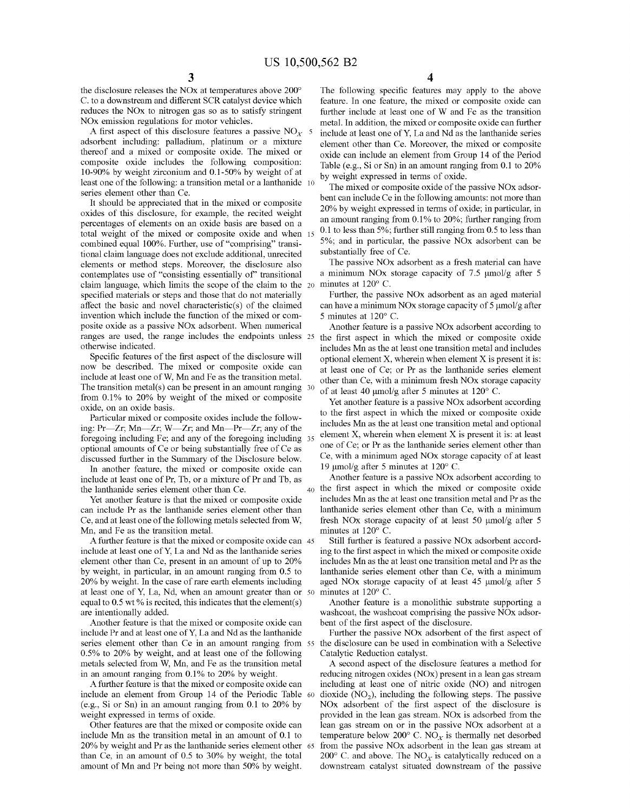the disclosure releases the NOx at temperatures above 200° C. to a downstream and different SCR catalyst device which reduces the NOx to nitrogen gas so as to satisfy stringent NOx emission regulations for motor vehicles. metal. In addition, the mixed or composite oxide can further

adsorbent including: palladium, platinum or a mixture thereof and a mixed or composite oxide. The mixed or composite oxide includes the following composition: 10-90% by weight zirconium and 0.1-50% by weight of at least one of the following: a transition metal or a lanthanide 10 series element other than Ce.

It should be appreciated that in the mixed or composite oxides of this disclosure, for example, the recited weight percentages of elements on an oxide basis are based on a total weight of the mixed or composite oxide and when combined equal 100%. Further, use of "comprising" transitional claim language does not exclude additional, unrecited elements or method steps. Moreover, the disclosure also contemplates use of "consisting essentially of' transitional claim language, which limits the scope of the claim to the specified materials or steps and those that do not materially affect the basic and novel characteristic(s) of the claimed invention which include the function of the mixed or composite oxide as a passive NOx adsorbent. When numerical ranges are used, the range includes the endpoints unless 25 otherwise indicated.

Specific features of the first aspect of the disclosure will now be described. The mixed or composite oxide can include at least one ofW, Mn and Fe as the transition metal. The transition metal(s) can be present in an amount ranging  $30$ from 0.1 % to 20% by weight of the mixed or composite oxide, on an oxide basis.

Particular mixed or composite oxides include the following: Pr—Zr; Mn—Zr; W—Zr; and Mn—Pr—Zr; any of the foregoing including Fe; and any of the foregoing including 35 optional amounts of Ce or being substantially free of Ce as discussed further in the Summary of the Disclosure below.

In another feature, the mixed or composite oxide can  $19 \text{ }\mu\text{mol/g}$  after 5 minutes at 120 $^{\circ}$  C. include at least one of Pr, Tb, or a mixture of Pr and Tb, as the lanthanide series element other than Ce.

Yet another feature is that the mixed or composite oxide can include Pr as the lanthanide series element other than Ce, and at least one of the following metals selected from W, Mn, and Fe as the transition metal.

A further feature is that the mixed or composite oxide can 45 include at least one ofY, La and Nd as the lanthanide series element other than Ce, present in an amount of up to 20% by weight, in particular, in an amount ranging from 0.5 to 20% by weight. In the case of rare earth elements including at least one of Y, La, Nd, when an amount greater than or 50 equal to 0.5 wt % is recited, this indicates that the element(s) are intentionally added.

Another feature is that the mixed or composite oxide can include Pr and at least one ofY, La and Nd as the lanthanide series element other than Ce in an amount ranging from 55 0.5% to 20% by weight, and at least one of the following metals selected from W, Mn, and Fe as the transition metal in an amount ranging from 0.1% to 20% by weight.

A further feature is that the mixed or composite oxide can include an element from Group 14 of the Periodic Table 60 (e.g., Si or Sn) in an amount ranging from 0.1 to 20% by weight expressed in terms of oxide.

Other features are that the mixed or composite oxide can include Mn as the transition metal in an amount of 0.1 to 20% by weight and Pr as the lanthanide series element other 65 than Ce, in an amount of 0.5 to 30% by weight, the total amount of Mn and Pr being not more than 50% by weight.

**3 4** 

The following specific features may apply to the above feature. In one feature, the mixed or composite oxide can further include at least one of W and Fe as the transition A first aspect of this disclosure features a passive  $NO<sub>x</sub> 5$  include at least one of Y, La and Nd as the lanthanide series element other than Ce. Moreover, the mixed or composite oxide can include an element from Group 14 of the Period Table (e.g., Si or Sn) in an amount ranging from 0.1 to 20% by weight expressed in terms of oxide.

> The mixed or composite oxide of the passive NOx adsorbent can include Ce in the following amounts: not more than 20% by weight expressed in terms of oxide; in particular, in an amount ranging from 0.1 % to 20%; further ranging from 0.1 to less than 5%; further still ranging from  $0.5$  to less than 5%; and in particular, the passive NOx adsorbent can be substantially free of Ce.

> The passive NOx adsorbent as a fresh material can have a minimum NOx storage capacity of 7.5 µmol/g after 5 minutes at  $120^{\circ}$  C.

> Further, the passive NOx adsorbent as an aged material can have a minimum NOx storage capacity of  $5 \mu \text{mol/g}$  after 5 minutes at 120° C.

> Another feature is a passive NOx adsorbent according to the first aspect in which the mixed or composite oxide includes Mn as the at least one transition metal and includes optional element  $X$ , wherein when element  $X$  is present it is: at least one of Ce; or Pr as the lanthanide series element other than Ce, with a minimum fresh NOx storage capacity of at least 40  $\mu$ mol/g after 5 minutes at 120 $^{\circ}$  C.

> Yet another feature is a passive NOx adsorbent according to the first aspect in which the mixed or composite oxide includes Mn as the at least one transition metal and optional element X, wherein when element X is present it is: at least one of Ce; or Pr as the lanthanide series element other than Ce, with a minimum aged NOx storage capacity of at least

Another feature is a passive NOx adsorbent according to 40 the first aspect in which the mixed or composite oxide includes Mn as the at least one transition metal and Pr as the lanthanide series element other than Ce, with a minimum fresh NOx storage capacity of at least 50 µmol/g after 5 minutes at 120° C.

Still further is featured a passive NOx adsorbent according to the first aspect in which the mixed or composite oxide includes Mn as the at least one transition metal and Pr as the lanthanide series element other than Ce, with a minimum aged NOx storage capacity of at least 45 µmol/g after 5 minutes at  $120^{\circ}$  C.

Another feature is a monolithic substrate supporting a washcoat, the washcoat comprising the passive NOx adsorbent of the first aspect of the disclosure.

Further the passive NOx adsorbent of the first aspect of the disclosure can be used in combination with a Selective Catalytic Reduction catalyst.

A second aspect of the disclosure features a method for reducing nitrogen oxides (NOx) present in a lean gas stream including at least one of nitric oxide (NO) and nitrogen dioxide  $(NO<sub>2</sub>)$ , including the following steps. The passive NOx adsorbent of the first aspect of the disclosure is provided in the lean gas stream. NOx is adsorbed from the lean gas stream on or in the passive NOx adsorbent at a temperature below 200 $^{\circ}$  C. NO<sub>x</sub> is thermally net desorbed from the passive NOx adsorbent in the lean gas stream at 200 $\degree$  C. and above. The NO<sub>x</sub> is catalytically reduced on a downstream catalyst situated downstream of the passive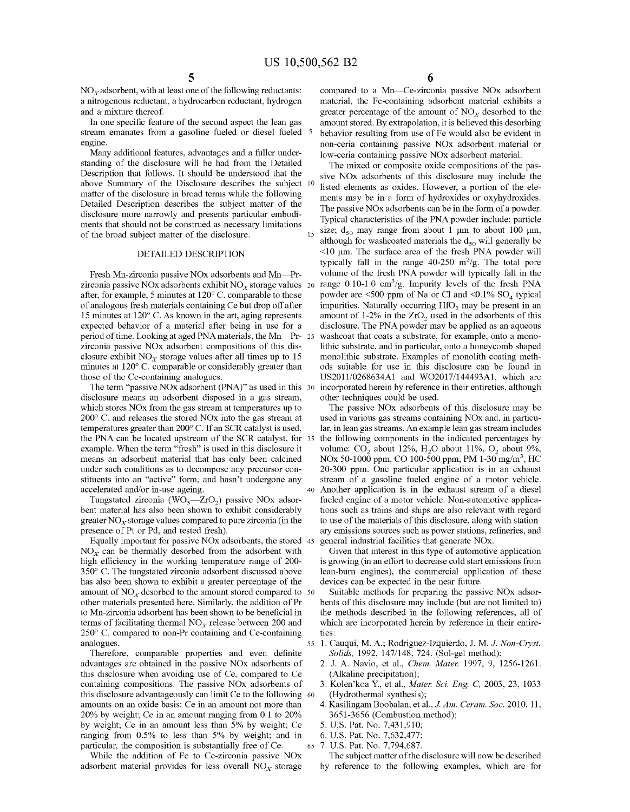$NO<sub>x</sub>$  adsorbent, with at least one of the following reductants: a nitrogenous reductant, a hydrocarbon reductant, hydrogen and a mixture thereof.

In one specific feature of the second aspect the lean gas stream emanates from a gasoline fueled or diesel fueled 5

standing of the disclosure will be had from the Detailed Description that follows. It should be understood that the above Summary of the Disclosure describes the subject 10 matter of the disclosure in broad terms while the following Detailed Description describes the subject matter of the disclosure more narrowly and presents particular embodiments that should not be construed as necessary limitations of the broad subject matter of the disclosure.

#### DETAILED DESCRIPTION

Fresh Mn-zirconia passive NO<sub>x</sub> adsorbents and Mn-Przirconia passive NOx adsorbents exhibit  $NO<sub>x</sub>$  storage values 20 after, for example, 5 minutes at 120° C. comparable to those of analogous fresh materials containing Ce but drop off after 15 minutes at 120° C. As known in the art, aging represents expected behavior of a material after being in use for a period of time. Looking at aged PNA materials, the Mn-Pr- 25 zirconia passive NOx adsorbent compositions of this disclosure exhibit  $NO<sub>x</sub>$  storage values after all times up to 15 minutes at 120° C. comparable or considerably greater than those of the Ce-containing analogues.

The term "passive NOx adsorbent (PNA)" as used in this 30 disclosure means an adsorbent disposed in a gas stream, which stores NOx from the gas stream at temperatures up to 200° C. and releases the stored NOx into the gas stream at temperatures greater than 200° C. If an SCR catalyst is used, the PNA can be located upstream of the SCR catalyst, for example. When the term "fresh" is used in this disclosure it means an adsorbent material that has only been calcined under such conditions as to decompose any precursor constituents into an "active" form, and hasn't undergone any accelerated and/or in-use ageing.

Tungstated zirconia (WO<sub>3</sub> $-ZrO<sub>2</sub>$ ) passive NOx adsorbent material has also been shown to exhibit considerably greater  $NO<sub>x</sub>$  storage values compared to pure zirconia (in the presence of Pt or Pd, and tested fresh).

Equally important for passive NOx adsorbents, the stored 45 general industrial facilities that generate NOx.  $NO<sub>x</sub>$  can be thermally desorbed from the adsorbent with high efficiency in the working temperature range of 200- 350° C. The tungstated zirconia adsorbent discussed above has also been shown to exhibit a greater percentage of the amount of  $NO<sub>x</sub>$  desorbed to the amount stored compared to 50 other materials presented here. Similarly, the addition of Pr to Mn-zirconia adsorbent has been shown to be beneficial in terms of facilitating thermal  $NO<sub>x</sub>$  release between 200 and 250° C. compared to non-Pr containing and Ce-containing

Therefore, comparable properties and even definite advantages are obtained in the passive NOx adsorbents of this disclosure when avoiding use of Ce, compared to Ce containing compositions. The passive NOx adsorbents of this disclosure advantageously can limit Ce to the following 60 amounts on an oxide basis: Ce in an amount not more than 20% by weight; Ce in an amount ranging from 0.1 to 20% by weight; Ce in an amount less than 5% by weight; Ce 5. U.S. Pat. No. 7,431,910; ranging from 0.5% to less than 5% by weight; and in particular, the composition is substantially free of Ce.

While the addition of Fe to Ce-zirconia passive NOx adsorbent material provides for less overall  $NO<sub>x</sub>$  storage **6** 

compared to a Mn-Ce-zirconia passive NOx adsorbent material, the Fe-containing adsorbent material exhibits a greater percentage of the amount of  $NO<sub>x</sub>$  desorbed to the amount stored. By extrapolation, it is believed this desorbing behavior resulting from use of Fe would also be evident in engine.<br>
Many additional features, advantages and a fuller under-<br>
low-ceria containing passive NOx adsorbent material. low-ceria containing passive NOx adsorbent material.

> The mixed or composite oxide compositions of the passive NOx adsorbents of this disclosure may include the listed elements as oxides. However, a portion of the elements may be in a form of hydroxides or oxyhydroxides. The passive NOx adsorbents can be in the form of a powder. Typical characteristics of the PNA powder include: particle size;  $d_{50}$  may range from about 1 µm to about 100 µm, although for washcoated materials the  $d_{50}$  will generally be  $\leq$ 10 µm. The surface area of the fresh PNA powder will typically fall in the range  $40-250$  m<sup>2</sup>/g. The total pore volume of the fresh PNA powder will typically fall in the  $_{20}$  range 0.10-1.0 cm<sup>3</sup>/g. Impurity levels of the fresh PNA powder are  $\leq 500$  ppm of Na or Cl and  $\leq 0.1\%$  SO<sub>4</sub> typical impurities. Naturally occurring  $HfO<sub>2</sub>$  may be present in an amount of 1-2% in the  $ZrO<sub>2</sub>$  used in the adsorbents of this disclosure. The PNA powder may be applied as an aqueous washcoat that coats a substrate, for example, onto a monolithic substrate, and in particular, onto a honeycomb shaped monolithic substrate. Examples of monolith coating methods suitable for use in this disclosure can be found in US2011/0268634Al and WO2017/144493Al, which are incorporated herein by reference in their entireties, although other techniques could be used.

> The passive NOx adsorbents of this disclosure may be used in various gas streams containing NOx and, in particular, in lean gas streams. An example lean gas stream includes the following components in the indicated percentages by volume:  $CO_2$  about 12%,  $H_2O$  about 11%,  $O_2$  about 9%, NOx 50-1000 ppm, CO 100-500 ppm, PM 1-30 mg/m<sup>3</sup>, HC 20-300 ppm. One particular application is in an exhaust stream of a gasoline fueled engine of a motor vehicle. 40 Another application is in the exhaust stream of a diesel fueled engine of a motor vehicle. Non-automotive applications such as trains and ships are also relevant with regard to use of the materials of this disclosure, along with stationary emissions sources such as power stations, refineries, and

Given that interest in this type of automotive application is growing (in an effort to decrease cold start emissions from lean-burn engines), the commercial application of these devices can be expected in the near future.

Suitable methods for preparing the passive NOx adsorbents of this disclosure may include (but are not limited to) the methods described in the following references, all of which are incorporated herein by reference in their entireties:

- analogues. 55 1. Cauqui, M.A.; Rodriguez-Izquierdo, J.M. J. *Non-Cryst. Solids,* 1992, 147/148, 724. (Sol-gel method);
	- 2. J. A. Navia, et al., *Chem. Mater.* 1997, 9, 1256-1261. (Alkaline precipitation);
	- 3. Kolen'koa Y., et al., *Mater. Sci. Eng.* C, 2003, 23, 1033 (Hydrothermal synthesis);
	- 4. Kasilingam Boobalan, et al., *J. Am. Ceram. Soc.* 2010, 11, 3651-3656 (Combustion method);
	-
	- 6. U.S. Pat. No. 7,632,477;
	- 65 7. U.S. Pat. No. 7,794,687.

The subject matter of the disclosure will now be described by reference to the following examples, which are for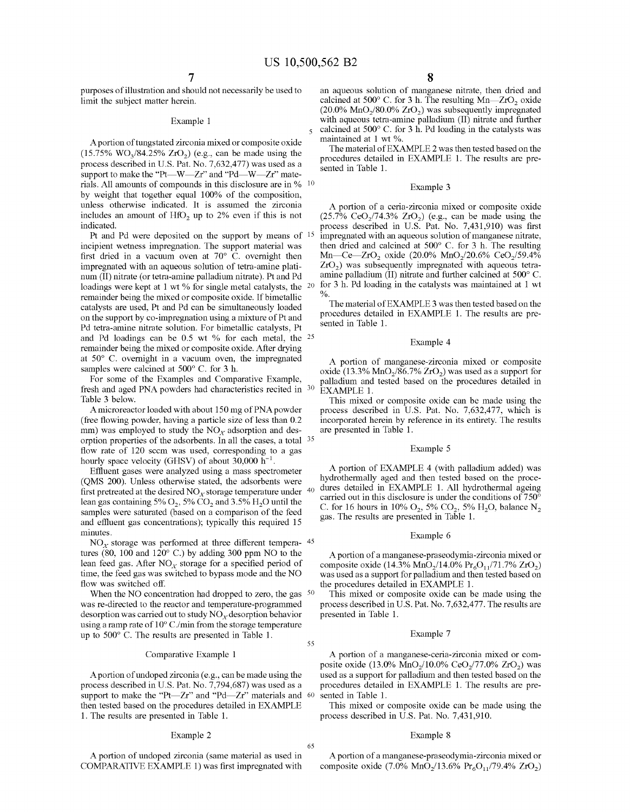purposes of illustration and should not necessarily be used to limit the subject matter herein.

A portion of tungstated zirconia mixed or composite oxide  $(15.75\% \text{ WO}_3/84.25\% \text{ ZrO}_2)$  (e.g., can be made using the process described in U.S. Pat. No. 7,632,477) was used as a support to make the "Pt-W-Zr" and "Pd-W-Zr" materials. All amounts of compounds in this disclosure are in  $\%$  10 by weight that together equal 100% of the composition, unless otherwise indicated. It is assumed the zirconia includes an amount of  $HfO<sub>2</sub>$  up to 2% even if this is not indicated.

Pt and Pd were deposited on the support by means of 15 incipient wetness impregnation. The support material was first dried in a vacuum oven at  $70^{\circ}$  C. overnight then impregnated with an aqueous solution of tetra-amine platinum (II) nitrate (or tetra-amine palladium nitrate). Pt and Pd loadings were kept at 1 wt % for single metal catalysts, the <sup>20</sup> remainder being the mixed or composite oxide. If bimetallic catalysts are used, Pt and Pd can be simultaneously loaded on the support by co-impregnation using a mixture of Pt and Pd tetra-amine nitrate solution. For bimetallic catalysts, Pt and Pd loadings can be 0.5 wt % for each metal, the 25 remainder being the mixed or composite oxide. After drying at 50° C. overnight in a vacuum oven, the impregnated samples were calcined at 500 $^{\circ}$  C. for 3 h.

For some of the Examples and Comparative Example, fresh and aged PNA powders had characteristics recited in 30 Table 3 below.

A microreactor loaded with about 150 mg of PNA powder (free flowing powder, having a particle size of less than 0.2 mm) was employed to study the  $NO<sub>x</sub>$  adsorption and desorption properties of the adsorbents. In all the cases, a total 35 flow rate of 120 sccm was used, corresponding to a gas hourly space velocity (GHSV) of about  $30,000$  h<sup>-1</sup>

Effluent gases were analyzed using a mass spectrometer (QMS 200). Unless otherwise stated, the adsorbents were first pretreated at the desired  $\mathrm{NO}_X$  storage temperature under  $^{40}$ lean gas containing 5%  $O_2$ , 5%  $CO_2$  and 3.5%  $H_2O$  until the samples were saturated (based on a comparison of the feed and effluent gas concentrations); typically this required 15 minutes.

 $NO<sub>x</sub>$  storage was performed at three different tempera- 45 tures (80, 100 and 120° C.) by adding 300 ppm NO to the lean feed gas. After  $NO<sub>x</sub>$  storage for a specified period of time, the feed gas was switched to bypass mode and the NO flow was switched off.

When the NO concentration had dropped to zero, the gas <sup>50</sup> was re-directed to the reactor and temperature-programmed desorption was carried out to study  $NO<sub>x</sub>$  desorption behavior using a ramp rate of 10° C./min from the storage temperature up to  $500^{\circ}$  C. The results are presented in Table 1.  $55$ 

#### Comparative Example 1

A portion of undoped zirconia ( e.g., can be made using the process described in U.S. Pat. No. 7,794,687) was used as a support to make the "Pt- $Zr$ " and "Pd- $Zr$ " materials and 60 then tested based on the procedures detailed in EXAMPLE 1. The results are presented in Table 1.

#### Example 2

A portion of undoped zirconia ( same material as used in COMPARATIVE EXAMPLE 1) was first impregnated with

an aqueous solution of manganese nitrate, then dried and calcined at 500 $^{\circ}$  C. for 3 h. The resulting Mn-ZrO<sub>2</sub> oxide  $(20.0\% \text{ MnO}_2/80.0\% \text{ ZrO}_2)$  was subsequently impregnated Example 1 with aqueous tetra-amine palladium (II) nitrate and further calcined at 500 $^{\circ}$  C. for 3 h. Pd loading in the catalysts was maintained at 1 wt %.

> The material of EXAMPLE 2 was then tested based on the procedures detailed in EXAMPLE 1. The results are presented in Table 1.

#### Example 3

A portion of a ceria-zirconia mixed or composite oxide  $(25.7\% \text{ CeO}_2/74.3\% \text{ ZrO}_2)$  (e.g., can be made using the process described in U.S. Pat. No. 7,431,910) was first impregnated with an aqueous solution of manganese nitrate, then dried and calcined at 500° C. for 3 h. The resulting Mn- $Ce$ - $ZrO_2$  oxide (20.0% MnO<sub>2</sub>/20.6% CeO<sub>2</sub>/59.4% **Zr02 )** was subsequently impregnated with aqueous tetraamine palladium (II) nitrate and further calcined at 500° C. for 3 h. Pd loading in the catalysts was maintained at 1 wt  $\frac{0}{0}$ 

The material of EXAMPLE 3 was then tested based on the procedures detailed in EXAMPLE 1. The results are presented in Table 1.

#### Example 4

A portion of manganese-zirconia mixed or composite oxide (13.3%  $MnO<sub>2</sub>/86.7% ZrO<sub>2</sub>$ ) was used as a support for palladium and tested based on the procedures detailed in EXAMPLE 1.

This mixed or composite oxide can be made using the process described in U.S. Pat. No. 7,632,477, which is incorporated herein by reference in its entirety. The results are presented in Table 1.

#### Example 5

A portion of EXAMPLE 4 (with palladium added) was hydrothermally aged and then tested based on the procedures detailed in EXAMPLE 1. All hydrothermal ageing carried out in this disclosure is under the conditions of  $750^{\circ}$ C. for 16 hours in 10%  $O_2$ , 5%  $CO_2$ , 5%  $H_2O$ , balance  $N_2$ gas. The results are presented in Table 1.

#### Example 6

A portion of a manganese-praseodymia-zirconia mixed or composite oxide (14.3% MnO<sub>2</sub>/14.0% Pr<sub>6</sub>O<sub>11</sub>/71.7% ZrO<sub>2</sub>) was used as a support for palladium and then tested based on the procedures detailed in EXAMPLE 1.

This mixed or composite oxide can be made using the process described in U.S. Pat. No. 7,632,477. The results are presented in Table 1.

#### Example 7

A portion of a manganese-ceria-zirconia mixed or composite oxide (13.0%  $MnO_2/10.0%$   $CeO_2/77.0%$   $ZrO_2$ ) was used as a support for palladium and then tested based on the procedures detailed in EXAMPLE 1. The results are presented in Table 1.

This mixed or composite oxide can be made using the process described in U.S. Pat. No. 7,431,910.

#### Example 8

65

A portion of a manganese-praseodymia-zirconia mixed or composite oxide (7.0%  $\text{MnO}_2/13.6\% \text{ Pr}_6\text{O}_{11}/79.4\% \text{ ZrO}_2$ )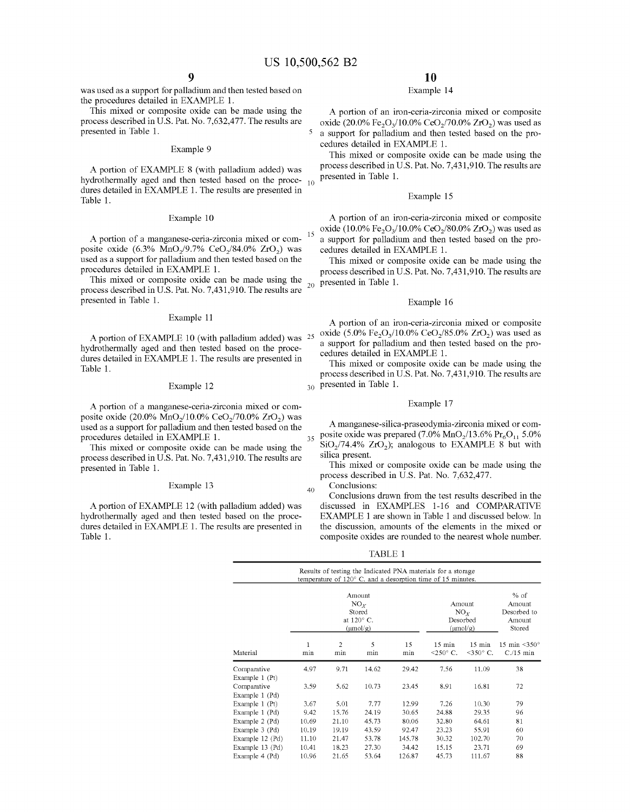was used as a support for palladium and then tested based on the procedures detailed in EXAMPLE 1.

This mixed or composite oxide can be made using the process described in U.S. Pat. No. 7,632,477. The results are presented in Table 1.

#### Example 9

A portion of EXAMPLE 8 (with palladium added) was hydrothermally aged and then tested based on the procedures detailed in EXAMPLE 1. The results are presented in Table 1.

#### Example 10

A portion of a manganese-ceria-zirconia mixed or composite oxide (6.3% MnO<sub>2</sub>/9.7% CeO<sub>2</sub>/84.0% ZrO<sub>2</sub>) was used as a support for palladium and then tested based on the procedures detailed in EXAMPLE 1.

This mixed or composite oxide can be made using the process described in U.S. Pat. No. 7,431,910. The results are presented in Table 1.

#### Example 11

A portion of EXAMPLE 10 (with palladium added) was hydrothermally aged and then tested based on the procedures detailed in EXAMPLE 1. The results are presented in Table 1.

#### Example 12

A portion of a manganese-ceria-zirconia mixed or composite oxide (20.0% MnO<sub>2</sub>/10.0% CeO<sub>2</sub>/70.0% ZrO<sub>2</sub>) was used as a support for palladium and then tested based on the procedures detailed in EXAMPLE 1.

This mixed or composite oxide can be made using the process described in U.S. Pat. No. 7,431,910. The results are presented in Table 1.

#### Example 13

A portion of EXAMPLE 12 (with palladium added) was hydrothermally aged and then tested based on the procedures detailed in EXAMPLE 1. The results are presented in Table 1.

## **10**

### Example 14

A portion of an iron-ceria-zirconia mixed or composite oxide (20.0% Fe<sub>2</sub>O<sub>2</sub>/10.0% CeO<sub>2</sub>/70.0% ZrO<sub>2</sub>) was used as 5 a support for palladium and then tested based on the procedures detailed in EXAMPLE 1.

This mixed or composite oxide can be made using the process described in U.S. Pat. No. 7,431,910. The results are presented in Table 1.

#### Example 15

A portion of an iron-ceria-zirconia mixed or composite 15 oxide (10.0% Fe<sub>2</sub>O<sub>3</sub>/10.0% CeO<sub>2</sub>/80.0% ZrO<sub>2</sub>) was used as a support for palladium and then tested based on the procedures detailed in EXAMPLE 1.

This mixed or composite oxide can be made using the process described in U.S. Pat. No. 7,431,910. The results are presented in Table 1.

#### Example 16

A portion of an iron-ceria-zirconia mixed or composite oxide (5.0% Fe<sub>2</sub>O<sub>3</sub>/10.0% CeO<sub>2</sub>/85.0% ZrO<sub>2</sub>) was used as a support for palladium and then tested based on the procedures detailed in EXAMPLE 1.

This mixed or composite oxide can be made using the process described in U.S. Pat. No. 7,431,910. The results are 30 presented in Table 1.

#### Example 17

**A** manganese-silica-praseodymia-zirconia mixed or com-35 posite oxide was prepared  $(7.0\% \text{ MnO}_2/13.6\% \text{ Pr}_6\text{O}_{11} 5.0\%$  $SiO<sub>2</sub>/74.4% ZrO<sub>2</sub>$ ); analogous to EXAMPLE 8 but with silica present.

This mixed or composite oxide can be made using the process described in U.S. Pat. No. 7,632,477.

Conclusions:

40

Conclusions drawn from the test results described in the discussed in EXAMPLES 1-16 and COMPARATIVE EXAMPLE 1 are shown in Table 1 and discussed below. In the discussion, amounts of the elements in the mixed or composite oxides are rounded to the nearest whole number.

TABLE 1

|                                           |       |                       | Amount<br>NO <sub>Y</sub><br>Stored |           | Results of testing the Indicated PNA materials for a storage<br>temperature of $120^{\circ}$ C and a desorption time of 15 minutes. | Amount<br>NO <sub>x</sub>               | $%$ of<br>Amount<br>Desorbed to      |
|-------------------------------------------|-------|-----------------------|-------------------------------------|-----------|-------------------------------------------------------------------------------------------------------------------------------------|-----------------------------------------|--------------------------------------|
| at $120^\circ$ C.<br>$(\mu \text{mol/g})$ |       |                       |                                     |           | Desorbed<br>$(\mu mol/g)$                                                                                                           | Amount<br>Stored                        |                                      |
| Material                                  | min   | $\overline{c}$<br>min | 5<br>min                            | 15<br>min | $15$ min<br>$<$ 250 $\circ$ C.                                                                                                      | $15 \text{ min}$<br>$\leq 350^\circ$ C. | 15 min $\leq 350^\circ$<br>$C15$ min |
| Comparative<br>Example 1 (Pt)             | 4.97  | 9.71                  | 14.62                               | 29.42     | 7.56                                                                                                                                | 11.09                                   | 38                                   |
| Comparative<br>Example 1 (Pd)             | 3.59  | 5.62                  | 10.73                               | 23.45     | 8.91                                                                                                                                | 16.81                                   | 72                                   |
| Example 1 (Pt)                            | 3.67  | 5.01                  | 7.77                                | 12.99     | 7.26                                                                                                                                | 10.30                                   | 79                                   |
| Example 1 (Pd)                            | 9.42  | 15.76                 | 24.19                               | 30.65     | 24.88                                                                                                                               | 29.35                                   | 96                                   |
| Example 2 (Pd)                            | 10.69 | 21.10                 | 45.73                               | 80.06     | 32.80                                                                                                                               | 64.61                                   | 81                                   |
| Example 3 (Pd)                            | 10.19 | 19.19                 | 43.59                               | 92.47     | 23.23                                                                                                                               | 55.91                                   | 60                                   |
| Example 12 (Pd)                           | 11.10 | 21.47                 | 53.78                               | 145.78    | 30.32                                                                                                                               | 102.70                                  | 70                                   |
| Example 13 (Pd)                           | 10.41 | 18.23                 | 27.30                               | 34.42     | 15.15                                                                                                                               | 23.71                                   | 69                                   |
| Example 4 (Pd)                            | 10.96 | 21.65                 | 53.64                               | 126.87    | 45.73                                                                                                                               | 111.67                                  | 88                                   |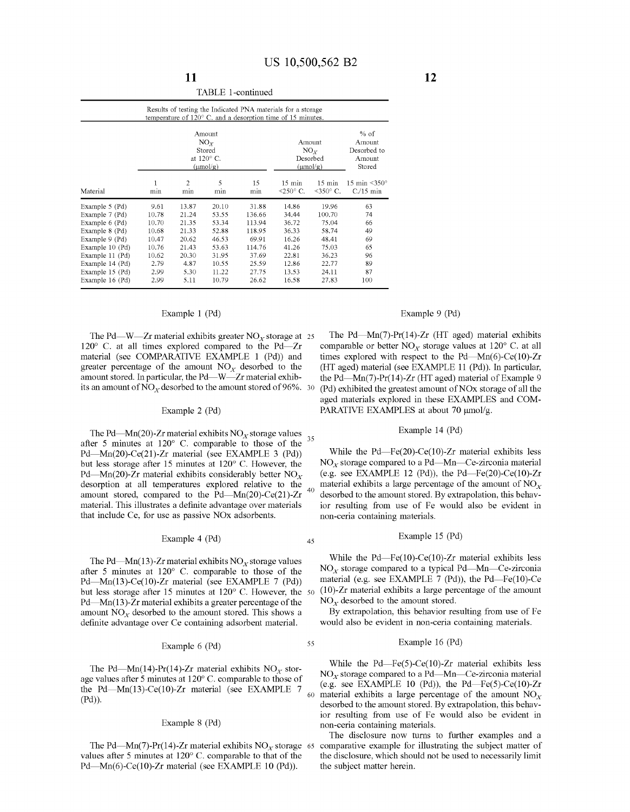|                                                                                                                                                                                       |                                                                                    |                                                                                     |                                                                                        |                                                                                            | Results of testing the Indicated PNA materials for a storage<br>temperature of $120^{\circ}$ C. and a desorption time of 15 minutes. |                                                                                         |                                                           |
|---------------------------------------------------------------------------------------------------------------------------------------------------------------------------------------|------------------------------------------------------------------------------------|-------------------------------------------------------------------------------------|----------------------------------------------------------------------------------------|--------------------------------------------------------------------------------------------|--------------------------------------------------------------------------------------------------------------------------------------|-----------------------------------------------------------------------------------------|-----------------------------------------------------------|
|                                                                                                                                                                                       |                                                                                    |                                                                                     | Amount<br>NO <sub>r</sub><br>Stored<br>at 120° C.<br>$(\mu \text{mol/g})$              | Amount<br>NO <sub>r</sub><br>Desorbed<br>$(\mu \text{mol/g})$                              | $%$ of<br>Amount<br>Desorbed to<br>Amount<br>Stored                                                                                  |                                                                                         |                                                           |
| Material                                                                                                                                                                              | min                                                                                | 2<br>min                                                                            | 5<br>min                                                                               | 15<br>min                                                                                  | $15 \text{ min}$<br>$<$ 250 $\degree$ C.                                                                                             | $15 \text{ min}$<br>$\leq 350^\circ$ C.                                                 | 15 min $\leq 350^\circ$<br>$C/15$ min                     |
| Example 5 (Pd)<br>Example 7 (Pd)<br>Example 6 (Pd)<br>Example 8 (Pd)<br>Example 9 (Pd)<br>Example 10 (Pd)<br>Example 11 (Pd)<br>Example 14 (Pd)<br>Example 15 (Pd)<br>Example 16 (Pd) | 9.61<br>10.78<br>10.70<br>10.68<br>10.47<br>10.76<br>10.62<br>2.79<br>2.99<br>2.99 | 13.87<br>21.24<br>21.35<br>21.33<br>20.62<br>21.43<br>20.30<br>4.87<br>5.30<br>5.11 | 20.10<br>53.55<br>53.34<br>52.88<br>46.53<br>53.63<br>31.95<br>10.55<br>11.22<br>10.79 | 31.88<br>136.66<br>113.94<br>118.95<br>69.91<br>114.76<br>37.69<br>25.59<br>27.75<br>26.62 | 14.86<br>34.44<br>36.72<br>36.33<br>16.26<br>41.26<br>22.81<br>12.86<br>13.53<br>16.58                                               | 19.96<br>100.70<br>75.04<br>58.74<br>48.41<br>75.03<br>36.23<br>22.77<br>24.11<br>27.83 | 63<br>74<br>66<br>49<br>69<br>65<br>96<br>89<br>87<br>100 |

#### TABLE I-continued

#### Example 1 (Pd)

The Pd—W—Zr material exhibits greater  $NO<sub>x</sub>$  storage at 25  $120^{\circ}$  C. at all times explored compared to the Pd-Zr material (see COMPARATIVE EXAMPLE 1 (Pd)) and greater percentage of the amount  $NO<sub>x</sub>$  desorbed to the amount stored. In particular, the Pd—W—Zr material exhibits an amount of  $NO<sub>x</sub>$  desorbed to the amount stored of 96%. 30

#### Example 2 (Pd)

The Pd—Mn(20)-Zr material exhibits  $NO<sub>x</sub>$  storage values after 5 minutes at 120° C. comparable to those of the <sup>35</sup> Pd-Mn(20)-Ce(21)-Zr material (see EXAMPLE 3 (Pd)) but less storage after 15 minutes at 120° C. However, the Pd—Mn(20)- $\bar{Z}r$  material exhibits considerably better NO<sub>x</sub> desorption at all temperatures explored relative to the amount stored, compared to the  $Pd$ -Mn(20)-Ce(21)-Zr material. This illustrates a definite advantage over materials that include Ce, for use as passive NOx adsorbents.

### Example 4 (Pd)  $45$

The Pd—Mn(13)-Zr material exhibits  $NO<sub>x</sub>$  storage values after 5 minutes at 120° C. comparable to those of the Pd-Mn(13)-Ce(10)-Zr material (see EXAMPLE 7 (Pd)) but less storage after 15 minutes at 120° C. However, the Pd-Mn(13)-Zr material exhibits a greater percentage of the amount  $NO<sub>x</sub>$  desorbed to the amount stored. This shows a definite advantage over Ce containing adsorbent material.

#### Example 6 (Pd)

55

The Pd—Mn(14)-Pr(14)-Zr material exhibits  $NO<sub>x</sub>$  storage values after 5 minutes at 120° C. comparable to those of the Pd-Mn(13)-Ce(10)-Zr material (see EXAMPLE 7 (Pd)).

#### Example 8 (Pd)

The Pd—Mn(7)-Pr(14)-Zr material exhibits  $NO<sub>x</sub>$  storage 65 values after 5 minutes at 120° C. comparable to that of the Pd-Mn(6)-Ce(10)-Zr material (see EXAMPLE 10 (Pd)).

#### Example 9 (Pd)

The Pd—Mn(7)-Pr(14)-Zr (HT aged) material exhibits comparable or better  $NO<sub>x</sub>$  storage values at 120 $^{\circ}$  C. at all times explored with respect to the Pd-Mn(6)-Ce(10)-Zr (HT aged) material (see EXAMPLE 11 (Pd)). In particular, the Pd-Mn(7)-Pr(14)-Zr (HT aged) material of Example 9 (Pd) exhibited the greatest amount of NOx storage of all the aged materials explored in these EXAMPLES and COM-PARATIVE EXAMPLES at about 70 µmol/g.

#### Example 14 (Pd)

While the Pd-Fe(20)-Ce(10)-Zr material exhibits less  $NO<sub>x</sub>$  storage compared to a Pd-Mn-Ce-zirconia material (e.g. see EXAMPLE 12 (Pd)), the Pd-Fe(20)-Ce(10)-Zr material exhibits a large percentage of the amount of  $NO<sub>x</sub>$ desorbed to the amount stored. By extrapolation, this behavior resulting from use of Fe would also be evident in non-ceria containing materials.

#### Example 15 (Pd)

While the Pd-Fe(10)-Ce(10)-Zr material exhibits less  $NO<sub>x</sub>$  storage compared to a typical Pd-Mn-Ce-zirconia material (e.g. see EXAMPLE 7 (Pd)), the Pd-Fe(10)-Ce  $(10)$ -Zr material exhibits a large percentage of the amount  $NO<sub>x</sub>$  desorbed to the amount stored.

By extrapolation, this behavior resulting from use of Fe would also be evident in non-ceria containing materials.

#### Example 16 (Pd)

While the  $Pd$ -Fe(5)-Ce(10)-Zr material exhibits less  $NO<sub>x</sub>$  storage compared to a Pd—Mn—Ce-zirconia material (e.g. see EXAMPLE 10 (Pd)), the Pd—Fe(5)-Ce(10)-Zr material exhibits a large percentage of the amount  $NO<sub>x</sub>$ desorbed to the amount stored. By extrapolation, this behavior resulting from use of Fe would also be evident in non-ceria containing materials.

The disclosure now turns to further examples and a comparative example for illustrating the subject matter of the disclosure, which should not be used to necessarily limit the subject matter herein.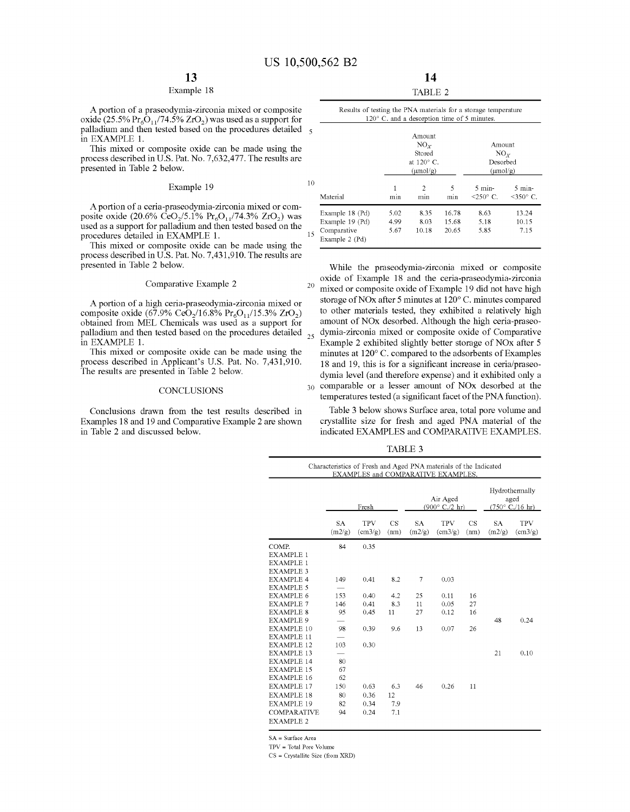#### Example 18

A portion of a praseodymia-zirconia mixed or composite oxide (25.5%  $Pr_6O_{11}/74.5\%$  ZrO<sub>2</sub>) was used as a support for palladium and then tested based on the procedures detailed 5 in EXAMPLE 1.

This mixed or composite oxide can be made using the process described in U.S. Pat. No. 7,632,477. The results are presented in Table 2 below.

#### Example 19

A portion of a ceria-praseodymia-zirconia mixed or composite oxide (20.6% CeO<sub>2</sub>/5.1% Pr<sub>6</sub>O<sub>11</sub>/74.3% ZrO<sub>2</sub>) was used as a support for palladium and then tested based on the procedures detailed in EXAMPLE 1.

This mixed or composite oxide can be made using the process described in U.S. Pat. No. 7,431,910. The results are presented in Table 2 below.

A portion of a high ceria-praseodymia-zirconia mixed or composite oxide (67.9% CeO<sub>2</sub>/16.8% Pr<sub>6</sub>O<sub>11</sub>/15.3% ZrO<sub>2</sub>) obtained from MEL Chemicals was used as a support for palladium and then tested based on the procedures detailed  $_{25}$ in EXAMPLE 1.

This mixed or composite oxide can be made using the process described in Applicant's U.S. Pat. No. 7,431,910. The results are presented in Table 2 below.

Conclusions drawn from the test results described in Examples 18 and 19 and Comparative Example 2 are shown in Table 2 and discussed below.

| 'ARLE | -2 |
|-------|----|

|    | Results of testing the PNA materials for a storage temperature<br>$120^{\circ}$ C. and a desorption time of 5 minutes. |          |                       |          |                      |                                 |  |  |  |  |  |
|----|------------------------------------------------------------------------------------------------------------------------|----------|-----------------------|----------|----------------------|---------------------------------|--|--|--|--|--|
| 5  |                                                                                                                        |          | Amount                |          |                      |                                 |  |  |  |  |  |
|    |                                                                                                                        |          | NO <sub>r</sub>       |          | Amount               |                                 |  |  |  |  |  |
|    | Stored<br>$NO_{Y}$                                                                                                     |          |                       |          |                      |                                 |  |  |  |  |  |
|    | at $120^\circ$ C.<br>Desorbed                                                                                          |          |                       |          |                      |                                 |  |  |  |  |  |
|    |                                                                                                                        |          | $(\mu \text{mol/g})$  |          | $(\mu \text{mol/g})$ |                                 |  |  |  |  |  |
| 10 | Material                                                                                                               | 1<br>min | $\overline{2}$<br>min | 5<br>min | $5$ min-<br><250° C. | $5$ min-<br>$\leq 350^\circ$ C. |  |  |  |  |  |
|    |                                                                                                                        |          |                       |          |                      |                                 |  |  |  |  |  |
|    | Example 18 (Pd)                                                                                                        | 5.02     | 8.35                  | 16.78    | 8.63                 | 13.24                           |  |  |  |  |  |
|    | Example 19 (Pd)                                                                                                        | 4.99     | 8.03                  | 15.68    | 5.18                 | 10.15                           |  |  |  |  |  |
| 15 | Comparative<br>Example 2 (Pd)                                                                                          | 5.67     | 10.18                 | 20.65    | 5.85                 | 7.15                            |  |  |  |  |  |

While the praseodymia-zirconia mixed or composite oxide of Example 18 and the ceria-praseodymia-zirconia Comparative Example 2 mixed or composite oxide of Example 19 did not have high storage of NOx after 5 minutes at 120° C. minutes compared to other materials tested, they exhibited a relatively high amount of NOx desorbed. Although the high ceria-praseodymia-zirconia mixed or composite oxide of Comparative Example 2 exhibited slightly better storage of NOx after 5 minutes at 120° C. compared to the adsorbents of Examples 18 and 19, this is for a significant increase in ceria/praseodymia level (and therefore expense) and it exhibited only a CONCLUSIONS 30 comparable or a lesser amount of NOx desorbed at the temperatures tested (a significant facet of the PNA function).

> Table 3 below shows Surface area, total pore volume and crystallite size for fresh and aged PNA material of the indicated EXAMPLES and COMPARATIVE EXAMPLES.

TABLE 3

|                    |              | Characteristics of Fresh and Aged PNA materials of the Indicated<br>EXAMPLES and COMPARATIVE EXAMPLES. |                   |              |                                                     |                                                             |                     |                                |
|--------------------|--------------|--------------------------------------------------------------------------------------------------------|-------------------|--------------|-----------------------------------------------------|-------------------------------------------------------------|---------------------|--------------------------------|
|                    |              | Fresh                                                                                                  |                   |              | Air Aged<br>$(900^{\circ} \text{ C.}/2 \text{ hr})$ | Hydrothermally<br>aged<br>$(750^{\circ} \text{ C}$ ./16 hr) |                     |                                |
|                    | SA<br>(m2/g) | <b>TPV</b><br>$\text{(cm3/g)}$                                                                         | <b>CS</b><br>(nm) | SA<br>(m2/g) | <b>TPV</b><br>(cm3/g)                               | <b>CS</b><br>(nm)                                           | <b>SA</b><br>(m2/g) | <b>TPV</b><br>$\text{(cm3/g)}$ |
| COMP.              | 84           | 0.35                                                                                                   |                   |              |                                                     |                                                             |                     |                                |
| <b>EXAMPLE 1</b>   |              |                                                                                                        |                   |              |                                                     |                                                             |                     |                                |
| <b>EXAMPLE 1</b>   |              |                                                                                                        |                   |              |                                                     |                                                             |                     |                                |
| <b>EXAMPLE 3</b>   |              |                                                                                                        |                   |              |                                                     |                                                             |                     |                                |
| <b>EXAMPLE 4</b>   | 149          | 0.41                                                                                                   | 8.2               | 7            | 0.03                                                |                                                             |                     |                                |
| <b>EXAMPLE 5</b>   |              |                                                                                                        |                   |              |                                                     |                                                             |                     |                                |
| <b>EXAMPLE 6</b>   | 153          | 0.40                                                                                                   | 42                | 25           | 0.11                                                | 16                                                          |                     |                                |
| <b>EXAMPLE 7</b>   | 146          | 0.41                                                                                                   | 8.3               | 11           | 0.05                                                | 27                                                          |                     |                                |
| <b>EXAMPLE 8</b>   | 95           | 0.45                                                                                                   | 11                | 27           | 0.12                                                | 16                                                          |                     |                                |
| <b>EXAMPLE 9</b>   |              |                                                                                                        |                   |              |                                                     |                                                             | 48                  | 0.24                           |
| <b>EXAMPLE 10</b>  | 98           | 0.39                                                                                                   | 9.6               | 13           | 0.07                                                | 26                                                          |                     |                                |
| <b>EXAMPLE 11</b>  |              |                                                                                                        |                   |              |                                                     |                                                             |                     |                                |
| <b>EXAMPLE 12</b>  | 103          | 0.30                                                                                                   |                   |              |                                                     |                                                             |                     |                                |
| <b>EXAMPLE 13</b>  |              |                                                                                                        |                   |              |                                                     |                                                             | 21                  | 0.10                           |
| <b>EXAMPLE 14</b>  | 80           |                                                                                                        |                   |              |                                                     |                                                             |                     |                                |
| <b>EXAMPLE 15</b>  | 67           |                                                                                                        |                   |              |                                                     |                                                             |                     |                                |
| <b>EXAMPLE 16</b>  | 62           |                                                                                                        |                   |              |                                                     |                                                             |                     |                                |
| <b>EXAMPLE 17</b>  | 150          | 0.63                                                                                                   | 6.3               | 46           | 0.26                                                | 11                                                          |                     |                                |
| <b>EXAMPLE 18</b>  | 80           | 0.36                                                                                                   | 12                |              |                                                     |                                                             |                     |                                |
| <b>EXAMPLE 19</b>  | 82           | 0.34                                                                                                   | 7.9               |              |                                                     |                                                             |                     |                                |
| <b>COMPARATIVE</b> | 94           | 0.24                                                                                                   | 7.1               |              |                                                     |                                                             |                     |                                |
| <b>EXAMPLE 2</b>   |              |                                                                                                        |                   |              |                                                     |                                                             |                     |                                |

SA = Surface Area

TPV = Total Pore Volume

CS = Crystallite Size (from XRD)